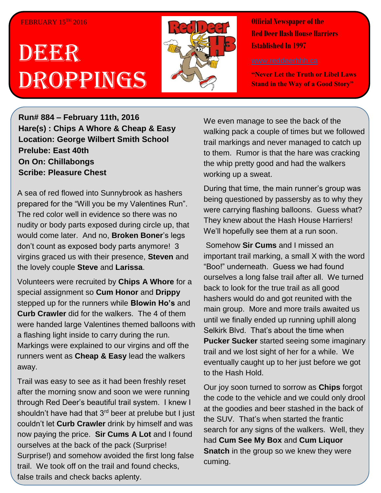## FEBRUARY 15TH 2016

## DEER Droppings



**Official Newspaper of the Red Deer Hash House Harriers Established In 1997** 

**"Never Let the Truth or Libel Laws Stand in the Way of a Good Story"**

**Run# 884 – February 11th, 2016 Hare(s) : Chips A Whore & Cheap & Easy Location: George Wilbert Smith School Prelube: East 40th On On: Chillabongs Scribe: Pleasure Chest**

A sea of red flowed into Sunnybrook as hashers prepared for the "Will you be my Valentines Run". The red color well in evidence so there was no nudity or body parts exposed during circle up, that would come later. And no, **Broken Boner**'s legs don't count as exposed body parts anymore! 3 virgins graced us with their presence, **Steven** and the lovely couple **Steve** and **Larissa**.

Volunteers were recruited by **Chips A Whore** for a special assignment so **Cum Honor** and **Drippy** stepped up for the runners while **Blowin Ho's** and **Curb Crawler** did for the walkers. The 4 of them were handed large Valentines themed balloons with a flashing light inside to carry during the run. Markings were explained to our virgins and off the runners went as **Cheap & Easy** lead the walkers away.

Trail was easy to see as it had been freshly reset after the morning snow and soon we were running through Red Deer's beautiful trail system. I knew I shouldn't have had that 3<sup>rd</sup> beer at prelube but I just couldn't let **Curb Crawler** drink by himself and was now paying the price. **Sir Cums A Lot** and I found ourselves at the back of the pack (Surprise! Surprise!) and somehow avoided the first long false trail. We took off on the trail and found checks, false trails and check backs aplenty.

We even manage to see the back of the walking pack a couple of times but we followed trail markings and never managed to catch up to them. Rumor is that the hare was cracking the whip pretty good and had the walkers working up a sweat.

During that time, the main runner's group was being questioned by passersby as to why they were carrying flashing balloons. Guess what? They knew about the Hash House Harriers! We'll hopefully see them at a run soon.

Somehow **Sir Cums** and I missed an important trail marking, a small X with the word "Boo!" underneath. Guess we had found ourselves a long false trail after all. We turned back to look for the true trail as all good hashers would do and got reunited with the main group. More and more trails awaited us until we finally ended up running uphill along Selkirk Blvd. That's about the time when **Pucker Sucker** started seeing some imaginary trail and we lost sight of her for a while. We eventually caught up to her just before we got to the Hash Hold.

Our joy soon turned to sorrow as **Chips** forgot the code to the vehicle and we could only drool at the goodies and beer stashed in the back of the SUV. That's when started the frantic search for any signs of the walkers. Well, they had **Cum See My Box** and **Cum Liquor Snatch** in the group so we knew they were cuming.